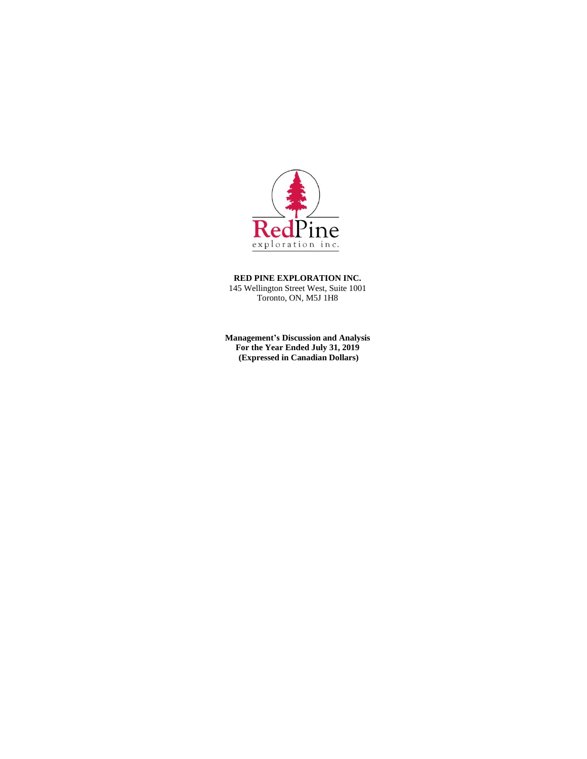

**RED PINE EXPLORATION INC.** 145 Wellington Street West, Suite 1001 Toronto, ON, M5J 1H8

**Management's Discussion and Analysis For the Year Ended July 31, 2019 (Expressed in Canadian Dollars)**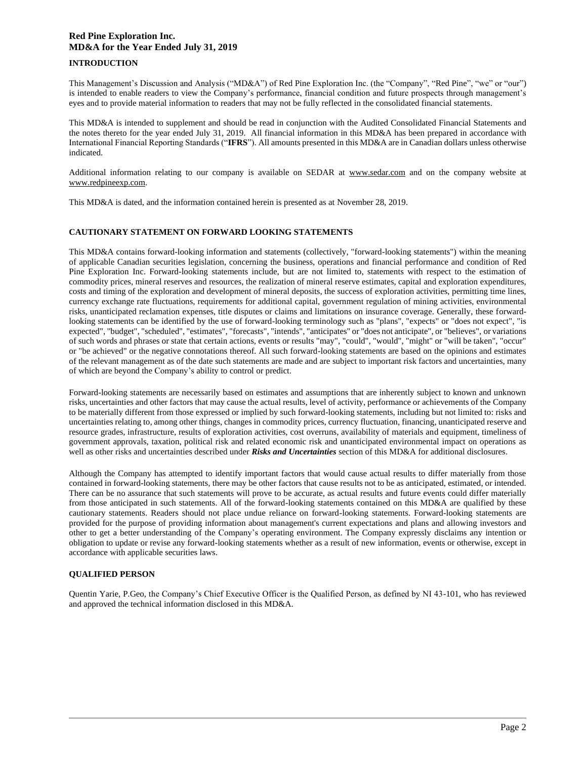## **INTRODUCTION**

This Management's Discussion and Analysis ("MD&A") of Red Pine Exploration Inc. (the "Company", "Red Pine", "we" or "our") is intended to enable readers to view the Company's performance, financial condition and future prospects through management's eyes and to provide material information to readers that may not be fully reflected in the consolidated financial statements.

This MD&A is intended to supplement and should be read in conjunction with the Audited Consolidated Financial Statements and the notes thereto for the year ended July 31, 2019. All financial information in this MD&A has been prepared in accordance with International Financial Reporting Standards ("**IFRS**"). All amounts presented in this MD&A are in Canadian dollars unless otherwise indicated.

Additional information relating to our company is available on SEDAR at www.sedar.com and on the company website at www.redpineexp.com.

This MD&A is dated, and the information contained herein is presented as at November 28, 2019.

## **CAUTIONARY STATEMENT ON FORWARD LOOKING STATEMENTS**

This MD&A contains forward-looking information and statements (collectively, "forward-looking statements") within the meaning of applicable Canadian securities legislation, concerning the business, operations and financial performance and condition of Red Pine Exploration Inc. Forward-looking statements include, but are not limited to, statements with respect to the estimation of commodity prices, mineral reserves and resources, the realization of mineral reserve estimates, capital and exploration expenditures, costs and timing of the exploration and development of mineral deposits, the success of exploration activities, permitting time lines, currency exchange rate fluctuations, requirements for additional capital, government regulation of mining activities, environmental risks, unanticipated reclamation expenses, title disputes or claims and limitations on insurance coverage. Generally, these forwardlooking statements can be identified by the use of forward-looking terminology such as "plans", "expects" or "does not expect", "is expected", "budget", "scheduled", "estimates", "forecasts", "intends", "anticipates" or "does not anticipate", or "believes", or variations of such words and phrases or state that certain actions, events or results "may", "could", "would", "might" or "will be taken", "occur" or "be achieved" or the negative connotations thereof. All such forward-looking statements are based on the opinions and estimates of the relevant management as of the date such statements are made and are subject to important risk factors and uncertainties, many of which are beyond the Company's ability to control or predict.

Forward-looking statements are necessarily based on estimates and assumptions that are inherently subject to known and unknown risks, uncertainties and other factors that may cause the actual results, level of activity, performance or achievements of the Company to be materially different from those expressed or implied by such forward-looking statements, including but not limited to: risks and uncertainties relating to, among other things, changes in commodity prices, currency fluctuation, financing, unanticipated reserve and resource grades, infrastructure, results of exploration activities, cost overruns, availability of materials and equipment, timeliness of government approvals, taxation, political risk and related economic risk and unanticipated environmental impact on operations as well as other risks and uncertainties described under *Risks and Uncertainties* section of this MD&A for additional disclosures.

Although the Company has attempted to identify important factors that would cause actual results to differ materially from those contained in forward-looking statements, there may be other factors that cause results not to be as anticipated, estimated, or intended. There can be no assurance that such statements will prove to be accurate, as actual results and future events could differ materially from those anticipated in such statements. All of the forward-looking statements contained on this MD&A are qualified by these cautionary statements. Readers should not place undue reliance on forward-looking statements. Forward-looking statements are provided for the purpose of providing information about management's current expectations and plans and allowing investors and other to get a better understanding of the Company's operating environment. The Company expressly disclaims any intention or obligation to update or revise any forward-looking statements whether as a result of new information, events or otherwise, except in accordance with applicable securities laws.

## **QUALIFIED PERSON**

Quentin Yarie, P.Geo, the Company's Chief Executive Officer is the Qualified Person, as defined by NI 43-101, who has reviewed and approved the technical information disclosed in this MD&A.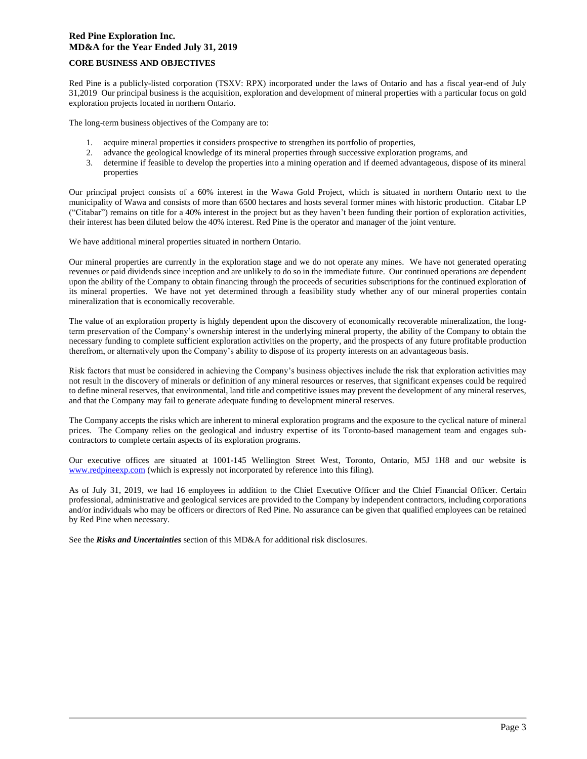## **CORE BUSINESS AND OBJECTIVES**

Red Pine is a publicly-listed corporation (TSXV: RPX) incorporated under the laws of Ontario and has a fiscal year-end of July 31,2019 Our principal business is the acquisition, exploration and development of mineral properties with a particular focus on gold exploration projects located in northern Ontario.

The long-term business objectives of the Company are to:

- 1. acquire mineral properties it considers prospective to strengthen its portfolio of properties,
- 2. advance the geological knowledge of its mineral properties through successive exploration programs, and
- 3. determine if feasible to develop the properties into a mining operation and if deemed advantageous, dispose of its mineral properties

Our principal project consists of a 60% interest in the Wawa Gold Project, which is situated in northern Ontario next to the municipality of Wawa and consists of more than 6500 hectares and hosts several former mines with historic production. Citabar LP ("Citabar") remains on title for a 40% interest in the project but as they haven't been funding their portion of exploration activities, their interest has been diluted below the 40% interest. Red Pine is the operator and manager of the joint venture.

We have additional mineral properties situated in northern Ontario.

Our mineral properties are currently in the exploration stage and we do not operate any mines. We have not generated operating revenues or paid dividends since inception and are unlikely to do so in the immediate future. Our continued operations are dependent upon the ability of the Company to obtain financing through the proceeds of securities subscriptions for the continued exploration of its mineral properties. We have not yet determined through a feasibility study whether any of our mineral properties contain mineralization that is economically recoverable.

The value of an exploration property is highly dependent upon the discovery of economically recoverable mineralization, the longterm preservation of the Company's ownership interest in the underlying mineral property, the ability of the Company to obtain the necessary funding to complete sufficient exploration activities on the property, and the prospects of any future profitable production therefrom, or alternatively upon the Company's ability to dispose of its property interests on an advantageous basis.

Risk factors that must be considered in achieving the Company's business objectives include the risk that exploration activities may not result in the discovery of minerals or definition of any mineral resources or reserves, that significant expenses could be required to define mineral reserves, that environmental, land title and competitive issues may prevent the development of any mineral reserves, and that the Company may fail to generate adequate funding to development mineral reserves.

The Company accepts the risks which are inherent to mineral exploration programs and the exposure to the cyclical nature of mineral prices. The Company relies on the geological and industry expertise of its Toronto-based management team and engages subcontractors to complete certain aspects of its exploration programs.

Our executive offices are situated at 1001-145 Wellington Street West, Toronto, Ontario, M5J 1H8 and our website is [www.redpineexp.com](http://www.redpineexp.com/) (which is expressly not incorporated by reference into this filing).

As of July 31, 2019, we had 16 employees in addition to the Chief Executive Officer and the Chief Financial Officer. Certain professional, administrative and geological services are provided to the Company by independent contractors, including corporations and/or individuals who may be officers or directors of Red Pine. No assurance can be given that qualified employees can be retained by Red Pine when necessary.

See the *Risks and Uncertainties* section of this MD&A for additional risk disclosures.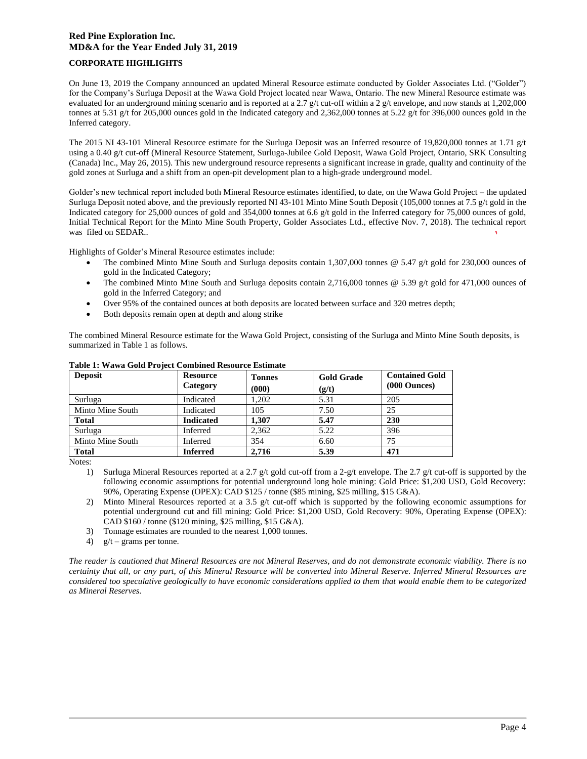## **CORPORATE HIGHLIGHTS**

On June 13, 2019 the Company announced an updated Mineral Resource estimate conducted by Golder Associates Ltd. ("Golder") for the Company's Surluga Deposit at the Wawa Gold Project located near Wawa, Ontario. The new Mineral Resource estimate was evaluated for an underground mining scenario and is reported at a 2.7 g/t cut-off within a 2 g/t envelope, and now stands at 1,202,000 tonnes at 5.31 g/t for 205,000 ounces gold in the Indicated category and 2,362,000 tonnes at 5.22 g/t for 396,000 ounces gold in the Inferred category.

The 2015 NI 43-101 Mineral Resource estimate for the Surluga Deposit was an Inferred resource of 19,820,000 tonnes at 1.71 g/t using a 0.40 g/t cut-off (Mineral Resource Statement, Surluga-Jubilee Gold Deposit, Wawa Gold Project, Ontario, SRK Consulting (Canada) Inc., May 26, 2015). This new underground resource represents a significant increase in grade, quality and continuity of the gold zones at Surluga and a shift from an open-pit development plan to a high-grade underground model.

Golder's new technical report included both Mineral Resource estimates identified, to date, on the Wawa Gold Project – the updated Surluga Deposit noted above, and the previously reported NI 43-101 Minto Mine South Deposit (105,000 tonnes at 7.5 g/t gold in the Indicated category for 25,000 ounces of gold and 354,000 tonnes at 6.6 g/t gold in the Inferred category for 75,000 ounces of gold, Initial Technical Report for the Minto Mine South Property, Golder Associates Ltd., effective Nov. 7, 2018). The technical report was filed on SEDAR..

Highlights of Golder's Mineral Resource estimates include:

- The combined Minto Mine South and Surluga deposits contain 1,307,000 tonnes @ 5.47 g/t gold for 230,000 ounces of gold in the Indicated Category;
- The combined Minto Mine South and Surluga deposits contain 2,716,000 tonnes @ 5.39 g/t gold for 471,000 ounces of gold in the Inferred Category; and
- Over 95% of the contained ounces at both deposits are located between surface and 320 metres depth;
- Both deposits remain open at depth and along strike

The combined Mineral Resource estimate for the Wawa Gold Project, consisting of the Surluga and Minto Mine South deposits, is summarized in Table 1 as follows.

| <b>Deposit</b>   | <b>Resource</b><br>Category | <b>Tonnes</b><br>(000) | <b>Gold Grade</b><br>(g/t) | <b>Contained Gold</b><br>$(000$ Ounces $)$ |
|------------------|-----------------------------|------------------------|----------------------------|--------------------------------------------|
| Surluga          | Indicated                   | 1.202                  | 5.31                       | 205                                        |
| Minto Mine South | Indicated                   | 105                    | 7.50                       | 25                                         |
| <b>Total</b>     | <b>Indicated</b>            | 1,307                  | 5.47                       | 230                                        |
| Surluga          | Inferred                    | 2,362                  | 5.22                       | 396                                        |
| Minto Mine South | Inferred                    | 354                    | 6.60                       | 75                                         |
| <b>Total</b>     | <b>Inferred</b>             | 2,716                  | 5.39                       | 471                                        |

#### **Table 1: Wawa Gold Project Combined Resource Estimate**

Notes:

1) Surluga Mineral Resources reported at a 2.7 g/t gold cut-off from a 2-g/t envelope. The 2.7 g/t cut-off is supported by the following economic assumptions for potential underground long hole mining: Gold Price: \$1,200 USD, Gold Recovery: 90%, Operating Expense (OPEX): CAD \$125 / tonne (\$85 mining, \$25 milling, \$15 G&A).

- 2) Minto Mineral Resources reported at a 3.5 g/t cut-off which is supported by the following economic assumptions for potential underground cut and fill mining: Gold Price: \$1,200 USD, Gold Recovery: 90%, Operating Expense (OPEX): CAD \$160 / tonne (\$120 mining, \$25 milling, \$15 G&A).
- 3) Tonnage estimates are rounded to the nearest 1,000 tonnes.
- 4)  $g/t -$  grams per tonne.

*The reader is cautioned that Mineral Resources are not Mineral Reserves, and do not demonstrate economic viability. There is no certainty that all, or any part, of this Mineral Resource will be converted into Mineral Reserve. Inferred Mineral Resources are considered too speculative geologically to have economic considerations applied to them that would enable them to be categorized as Mineral Reserves*.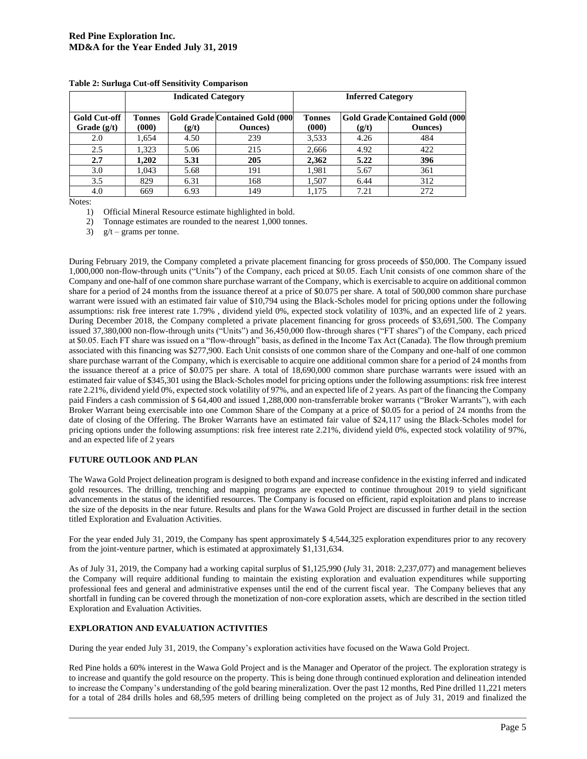|                                      | <b>Indicated Category</b> |       |                                                          | <b>Inferred Category</b> |       |                                                          |
|--------------------------------------|---------------------------|-------|----------------------------------------------------------|--------------------------|-------|----------------------------------------------------------|
| <b>Gold Cut-off</b><br>Grade $(g/t)$ | <b>Tonnes</b><br>(000)    | (g/t) | <b>Gold Grade Contained Gold (000</b><br><b>Ounces</b> ) | Tonnes<br>(000)          | (g/t) | <b>Gold Grade Contained Gold (000</b><br><b>Ounces</b> ) |
| 2.0                                  | 1.654                     | 4.50  | 239                                                      | 3,533                    | 4.26  | 484                                                      |
| 2.5                                  | 1.323                     | 5.06  | 215                                                      | 2,666                    | 4.92  | 422                                                      |
| 2.7                                  | 1.202                     | 5.31  | 205                                                      | 2,362                    | 5.22  | 396                                                      |
| 3.0                                  | 1.043                     | 5.68  | 191                                                      | 1,981                    | 5.67  | 361                                                      |
| 3.5                                  | 829                       | 6.31  | 168                                                      | 1,507                    | 6.44  | 312                                                      |
| 4.0                                  | 669                       | 6.93  | 149                                                      | 1.175                    | 7.21  | 272                                                      |

#### **Table 2: Surluga Cut-off Sensitivity Comparison**

Notes:

1) Official Mineral Resource estimate highlighted in bold.

2) Tonnage estimates are rounded to the nearest 1,000 tonnes.

3)  $g/t - grams$  per tonne.

During February 2019, the Company completed a private placement financing for gross proceeds of \$50,000. The Company issued 1,000,000 non-flow-through units ("Units") of the Company, each priced at \$0.05. Each Unit consists of one common share of the Company and one-half of one common share purchase warrant of the Company, which is exercisable to acquire on additional common share for a period of 24 months from the issuance thereof at a price of \$0.075 per share. A total of 500,000 common share purchase warrant were issued with an estimated fair value of \$10,794 using the Black-Scholes model for pricing options under the following assumptions: risk free interest rate 1.79% , dividend yield 0%, expected stock volatility of 103%, and an expected life of 2 years. During December 2018, the Company completed a private placement financing for gross proceeds of \$3,691,500. The Company issued 37,380,000 non-flow-through units ("Units") and 36,450,000 flow-through shares ("FT shares") of the Company, each priced at \$0.05. Each FT share was issued on a "flow-through" basis, as defined in the Income Tax Act (Canada). The flow through premium associated with this financing was \$277,900. Each Unit consists of one common share of the Company and one-half of one common share purchase warrant of the Company, which is exercisable to acquire one additional common share for a period of 24 months from the issuance thereof at a price of \$0.075 per share. A total of 18,690,000 common share purchase warrants were issued with an estimated fair value of \$345,301 using the Black-Scholes model for pricing options under the following assumptions: risk free interest rate 2.21%, dividend yield 0%, expected stock volatility of 97%, and an expected life of 2 years. As part of the financing the Company paid Finders a cash commission of \$ 64,400 and issued 1,288,000 non-transferrable broker warrants ("Broker Warrants"), with each Broker Warrant being exercisable into one Common Share of the Company at a price of \$0.05 for a period of 24 months from the date of closing of the Offering. The Broker Warrants have an estimated fair value of \$24,117 using the Black-Scholes model for pricing options under the following assumptions: risk free interest rate 2.21%, dividend yield 0%, expected stock volatility of 97%, and an expected life of 2 years

## **FUTURE OUTLOOK AND PLAN**

The Wawa Gold Project delineation program is designed to both expand and increase confidence in the existing inferred and indicated gold resources. The drilling, trenching and mapping programs are expected to continue throughout 2019 to yield significant advancements in the status of the identified resources. The Company is focused on efficient, rapid exploitation and plans to increase the size of the deposits in the near future. Results and plans for the Wawa Gold Project are discussed in further detail in the section titled Exploration and Evaluation Activities.

For the year ended July 31, 2019, the Company has spent approximately \$ 4,544,325 exploration expenditures prior to any recovery from the joint-venture partner, which is estimated at approximately \$1,131,634.

As of July 31, 2019, the Company had a working capital surplus of \$1,125,990 (July 31, 2018: 2,237,077) and management believes the Company will require additional funding to maintain the existing exploration and evaluation expenditures while supporting professional fees and general and administrative expenses until the end of the current fiscal year. The Company believes that any shortfall in funding can be covered through the monetization of non-core exploration assets, which are described in the section titled Exploration and Evaluation Activities.

# **EXPLORATION AND EVALUATION ACTIVITIES**

During the year ended July 31, 2019, the Company's exploration activities have focused on the Wawa Gold Project.

Red Pine holds a 60% interest in the Wawa Gold Project and is the Manager and Operator of the project. The exploration strategy is to increase and quantify the gold resource on the property. This is being done through continued exploration and delineation intended to increase the Company's understanding of the gold bearing mineralization. Over the past 12 months, Red Pine drilled 11,221 meters for a total of 284 drills holes and 68,595 meters of drilling being completed on the project as of July 31, 2019 and finalized the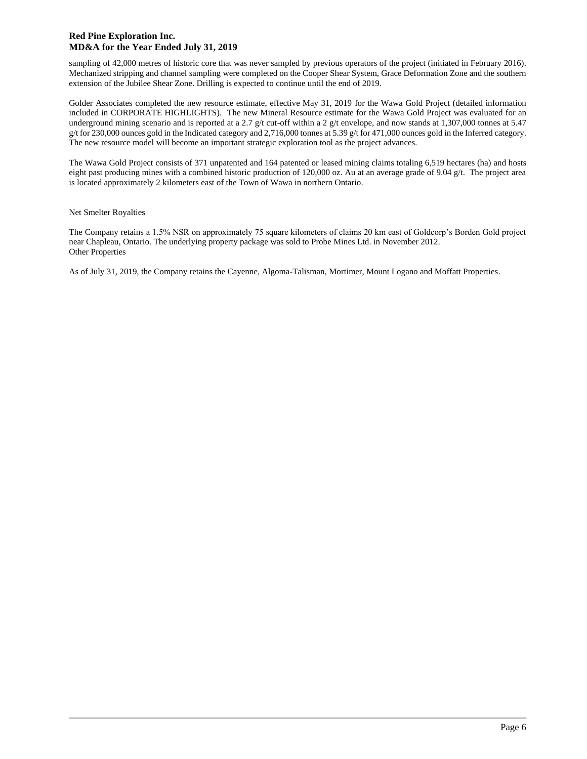sampling of 42,000 metres of historic core that was never sampled by previous operators of the project (initiated in February 2016). Mechanized stripping and channel sampling were completed on the Cooper Shear System, Grace Deformation Zone and the southern extension of the Jubilee Shear Zone. Drilling is expected to continue until the end of 2019.

Golder Associates completed the new resource estimate, effective May 31, 2019 for the Wawa Gold Project (detailed information included in CORPORATE HIGHLIGHTS). The new Mineral Resource estimate for the Wawa Gold Project was evaluated for an underground mining scenario and is reported at a 2.7 g/t cut-off within a 2 g/t envelope, and now stands at 1,307,000 tonnes at 5.47 g/t for 230,000 ounces gold in the Indicated category and 2,716,000 tonnes at 5.39 g/t for 471,000 ounces gold in the Inferred category. The new resource model will become an important strategic exploration tool as the project advances.

The Wawa Gold Project consists of 371 unpatented and 164 patented or leased mining claims totaling 6,519 hectares (ha) and hosts eight past producing mines with a combined historic production of 120,000 oz. Au at an average grade of 9.04 g/t. The project area is located approximately 2 kilometers east of the Town of Wawa in northern Ontario.

## Net Smelter Royalties

The Company retains a 1.5% NSR on approximately 75 square kilometers of claims 20 km east of Goldcorp's Borden Gold project near Chapleau, Ontario. The underlying property package was sold to Probe Mines Ltd. in November 2012. Other Properties

As of July 31, 2019, the Company retains the Cayenne, Algoma-Talisman, Mortimer, Mount Logano and Moffatt Properties.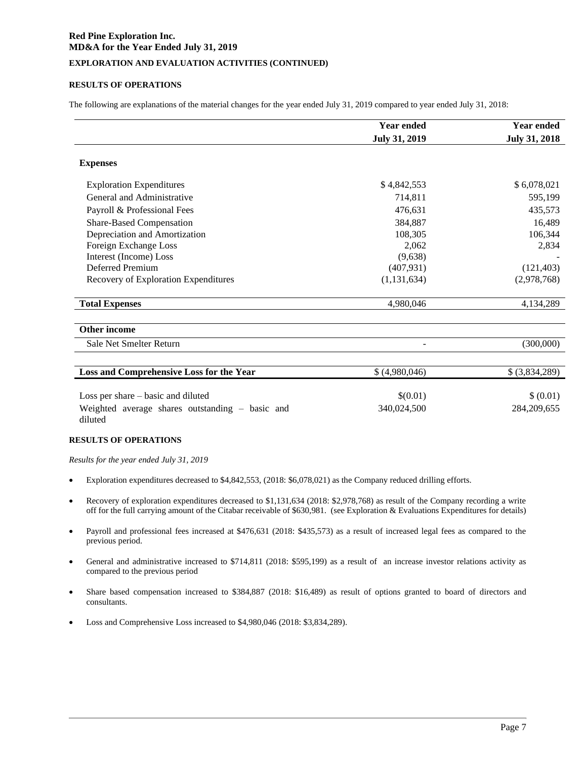# **EXPLORATION AND EVALUATION ACTIVITIES (CONTINUED)**

## **RESULTS OF OPERATIONS**

The following are explanations of the material changes for the year ended July 31, 2019 compared to year ended July 31, 2018:

|                                                            | <b>Year ended</b>    | Year ended           |
|------------------------------------------------------------|----------------------|----------------------|
|                                                            | <b>July 31, 2019</b> | <b>July 31, 2018</b> |
| <b>Expenses</b>                                            |                      |                      |
| <b>Exploration Expenditures</b>                            | \$4,842,553          | \$6,078,021          |
| General and Administrative                                 | 714,811              | 595,199              |
| Payroll & Professional Fees                                | 476,631              | 435,573              |
| Share-Based Compensation                                   | 384,887              | 16,489               |
| Depreciation and Amortization                              | 108,305              | 106,344              |
| Foreign Exchange Loss                                      | 2,062                | 2,834                |
| Interest (Income) Loss                                     | (9,638)              |                      |
| Deferred Premium                                           | (407, 931)           | (121, 403)           |
| Recovery of Exploration Expenditures                       | (1, 131, 634)        | (2,978,768)          |
| <b>Total Expenses</b>                                      | 4,980,046            | 4,134,289            |
| <b>Other income</b>                                        |                      |                      |
| Sale Net Smelter Return                                    |                      | (300,000)            |
| Loss and Comprehensive Loss for the Year                   | \$ (4,980,046)       | \$ (3,834,289)       |
|                                                            |                      |                      |
| Loss per share $-$ basic and diluted                       | \$(0.01)             | \$ (0.01)            |
| Weighted average shares outstanding – basic and<br>diluted | 340,024,500          | 284,209,655          |

## **RESULTS OF OPERATIONS**

*Results for the year ended July 31, 2019*

- Exploration expenditures decreased to \$4,842,553, (2018: \$6,078,021) as the Company reduced drilling efforts.
- Recovery of exploration expenditures decreased to \$1,131,634 (2018: \$2,978,768) as result of the Company recording a write off for the full carrying amount of the Citabar receivable of \$630,981. (see Exploration & Evaluations Expenditures for details)
- Payroll and professional fees increased at \$476,631 (2018: \$435,573) as a result of increased legal fees as compared to the previous period.
- General and administrative increased to \$714,811 (2018: \$595,199) as a result of an increase investor relations activity as compared to the previous period
- Share based compensation increased to \$384,887 (2018: \$16,489) as result of options granted to board of directors and consultants.
- Loss and Comprehensive Loss increased to \$4,980,046 (2018: \$3,834,289).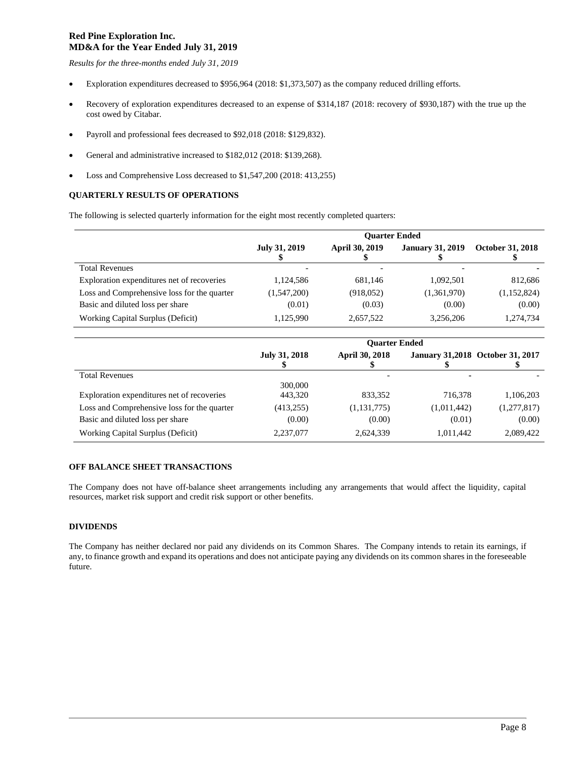*Results for the three-months ended July 31, 2019*

- Exploration expenditures decreased to \$956,964 (2018: \$1,373,507) as the company reduced drilling efforts.
- Recovery of exploration expenditures decreased to an expense of \$314,187 (2018: recovery of \$930,187) with the true up the cost owed by Citabar.
- Payroll and professional fees decreased to \$92,018 (2018: \$129,832).
- General and administrative increased to \$182,012 (2018: \$139,268).
- Loss and Comprehensive Loss decreased to \$1,547,200 (2018: 413,255)

## **QUARTERLY RESULTS OF OPERATIONS**

The following is selected quarterly information for the eight most recently completed quarters:

|                                             | <b>Ouarter Ended</b> |                       |                         |                         |  |
|---------------------------------------------|----------------------|-----------------------|-------------------------|-------------------------|--|
|                                             | July 31, 2019        | <b>April 30, 2019</b> | <b>January 31, 2019</b> | <b>October 31, 2018</b> |  |
| <b>Total Revenues</b>                       |                      | -                     |                         |                         |  |
| Exploration expenditures net of recoveries  | 1,124,586            | 681,146               | 1,092,501               | 812,686                 |  |
| Loss and Comprehensive loss for the quarter | (1,547,200)          | (918, 052)            | (1,361,970)             | (1,152,824)             |  |
| Basic and diluted loss per share            | (0.01)               | (0.03)                | (0.00)                  | (0.00)                  |  |
| Working Capital Surplus (Deficit)           | 1,125,990            | 2,657,522             | 3,256,206               | 1,274,734               |  |

|                                             | <b>Ouarter Ended</b> |                       |                                  |             |  |
|---------------------------------------------|----------------------|-----------------------|----------------------------------|-------------|--|
|                                             | <b>July 31, 2018</b> | <b>April 30, 2018</b> | January 31,2018 October 31, 2017 |             |  |
| <b>Total Revenues</b>                       |                      |                       |                                  |             |  |
|                                             | 300,000              |                       |                                  |             |  |
| Exploration expenditures net of recoveries  | 443,320              | 833,352               | 716.378                          | 1,106,203   |  |
| Loss and Comprehensive loss for the quarter | (413, 255)           | (1,131,775)           | (1,011,442)                      | (1,277,817) |  |
| Basic and diluted loss per share            | (0.00)               | (0.00)                | (0.01)                           | (0.00)      |  |
| Working Capital Surplus (Deficit)           | 2,237,077            | 2,624,339             | 1,011,442                        | 2,089,422   |  |

## **OFF BALANCE SHEET TRANSACTIONS**

The Company does not have off-balance sheet arrangements including any arrangements that would affect the liquidity, capital resources, market risk support and credit risk support or other benefits.

### **DIVIDENDS**

The Company has neither declared nor paid any dividends on its Common Shares. The Company intends to retain its earnings, if any, to finance growth and expand its operations and does not anticipate paying any dividends on its common shares in the foreseeable future.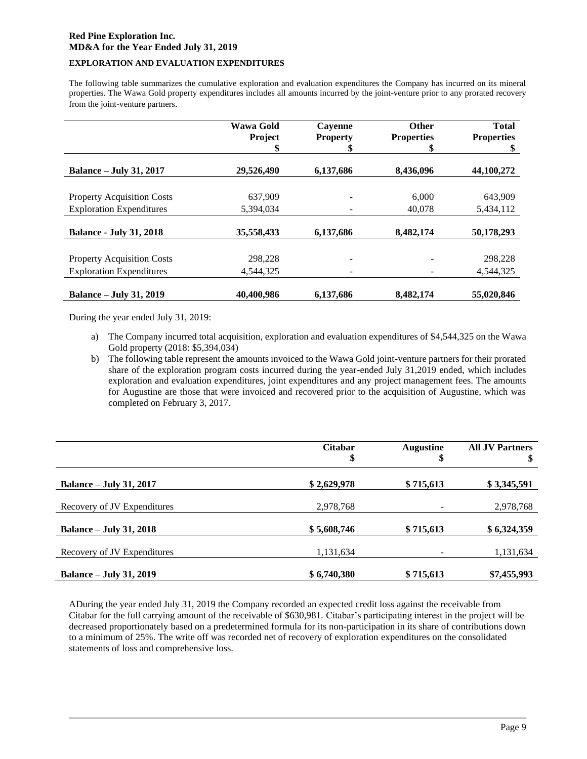# **EXPLORATION AND EVALUATION EXPENDITURES**

The following table summarizes the cumulative exploration and evaluation expenditures the Company has incurred on its mineral properties. The Wawa Gold property expenditures includes all amounts incurred by the joint-venture prior to any prorated recovery from the joint-venture partners.

|                                   | Wawa Gold<br>Project<br>\$ | Cavenne<br><b>Property</b><br>\$ | <b>Other</b><br><b>Properties</b><br>\$ | <b>Total</b><br><b>Properties</b><br>S, |
|-----------------------------------|----------------------------|----------------------------------|-----------------------------------------|-----------------------------------------|
|                                   |                            |                                  |                                         |                                         |
| <b>Balance – July 31, 2017</b>    | 29,526,490                 | 6,137,686                        | 8,436,096                               | 44,100,272                              |
|                                   |                            |                                  |                                         |                                         |
| <b>Property Acquisition Costs</b> | 637.909                    |                                  | 6.000                                   | 643,909                                 |
| <b>Exploration Expenditures</b>   | 5,394,034                  |                                  | 40,078                                  | 5,434,112                               |
|                                   |                            |                                  |                                         |                                         |
| <b>Balance - July 31, 2018</b>    | 35,558,433                 | 6,137,686                        | 8.482,174                               | 50,178,293                              |
|                                   |                            |                                  |                                         |                                         |
| <b>Property Acquisition Costs</b> | 298,228                    |                                  |                                         | 298,228                                 |
| <b>Exploration Expenditures</b>   | 4,544,325                  |                                  |                                         | 4,544,325                               |
|                                   |                            |                                  |                                         |                                         |
| <b>Balance – July 31, 2019</b>    | 40.400.986                 | 6.137.686                        | 8.482,174                               | 55,020,846                              |

During the year ended July 31, 2019:

- a) The Company incurred total acquisition, exploration and evaluation expenditures of \$4,544,325 on the Wawa Gold property (2018: \$5,394,034)
- b) The following table represent the amounts invoiced to the Wawa Gold joint-venture partners for their prorated share of the exploration program costs incurred during the year-ended July 31,2019 ended, which includes exploration and evaluation expenditures, joint expenditures and any project management fees. The amounts for Augustine are those that were invoiced and recovered prior to the acquisition of Augustine, which was completed on February 3, 2017.

|                                | <b>Citabar</b><br>\$ | <b>Augustine</b><br>\$ | <b>All JV Partners</b><br>\$ |
|--------------------------------|----------------------|------------------------|------------------------------|
| <b>Balance – July 31, 2017</b> | \$2,629,978          | \$715,613              | \$3,345,591                  |
| Recovery of JV Expenditures    | 2,978,768            |                        | 2,978,768                    |
| <b>Balance – July 31, 2018</b> | \$5,608,746          | \$715,613              | \$6,324,359                  |
| Recovery of JV Expenditures    | 1,131,634            |                        | 1,131,634                    |
| <b>Balance – July 31, 2019</b> | \$6,740,380          | \$715,613              | \$7,455,993                  |

ADuring the year ended July 31, 2019 the Company recorded an expected credit loss against the receivable from Citabar for the full carrying amount of the receivable of \$630,981. Citabar's participating interest in the project will be decreased proportionately based on a predetermined formula for its non-participation in its share of contributions down to a minimum of 25%. The write off was recorded net of recovery of exploration expenditures on the consolidated statements of loss and comprehensive loss.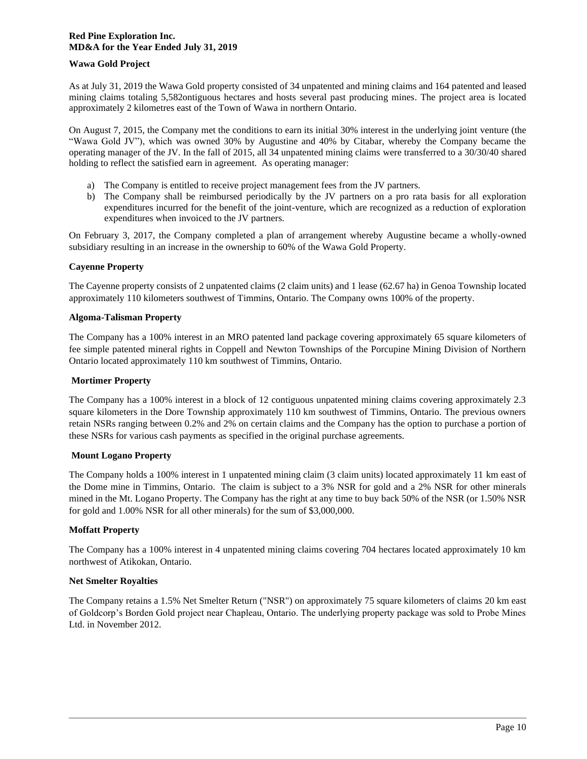# **Wawa Gold Project**

As at July 31, 2019 the Wawa Gold property consisted of 34 unpatented and mining claims and 164 patented and leased mining claims totaling 5,582ontiguous hectares and hosts several past producing mines. The project area is located approximately 2 kilometres east of the Town of Wawa in northern Ontario.

On August 7, 2015, the Company met the conditions to earn its initial 30% interest in the underlying joint venture (the "Wawa Gold JV"), which was owned 30% by Augustine and 40% by Citabar, whereby the Company became the operating manager of the JV. In the fall of 2015, all 34 unpatented mining claims were transferred to a 30/30/40 shared holding to reflect the satisfied earn in agreement. As operating manager:

- a) The Company is entitled to receive project management fees from the JV partners.
- b) The Company shall be reimbursed periodically by the JV partners on a pro rata basis for all exploration expenditures incurred for the benefit of the joint-venture, which are recognized as a reduction of exploration expenditures when invoiced to the JV partners.

On February 3, 2017, the Company completed a plan of arrangement whereby Augustine became a wholly-owned subsidiary resulting in an increase in the ownership to 60% of the Wawa Gold Property.

# **Cayenne Property**

The Cayenne property consists of 2 unpatented claims (2 claim units) and 1 lease (62.67 ha) in Genoa Township located approximately 110 kilometers southwest of Timmins, Ontario. The Company owns 100% of the property.

# **Algoma-Talisman Property**

The Company has a 100% interest in an MRO patented land package covering approximately 65 square kilometers of fee simple patented mineral rights in Coppell and Newton Townships of the Porcupine Mining Division of Northern Ontario located approximately 110 km southwest of Timmins, Ontario.

# **Mortimer Property**

The Company has a 100% interest in a block of 12 contiguous unpatented mining claims covering approximately 2.3 square kilometers in the Dore Township approximately 110 km southwest of Timmins, Ontario. The previous owners retain NSRs ranging between 0.2% and 2% on certain claims and the Company has the option to purchase a portion of these NSRs for various cash payments as specified in the original purchase agreements.

# **Mount Logano Property**

The Company holds a 100% interest in 1 unpatented mining claim (3 claim units) located approximately 11 km east of the Dome mine in Timmins, Ontario. The claim is subject to a 3% NSR for gold and a 2% NSR for other minerals mined in the Mt. Logano Property. The Company has the right at any time to buy back 50% of the NSR (or 1.50% NSR for gold and 1.00% NSR for all other minerals) for the sum of \$3,000,000.

# **Moffatt Property**

The Company has a 100% interest in 4 unpatented mining claims covering 704 hectares located approximately 10 km northwest of Atikokan, Ontario.

# **Net Smelter Royalties**

The Company retains a 1.5% Net Smelter Return ("NSR") on approximately 75 square kilometers of claims 20 km east of Goldcorp's Borden Gold project near Chapleau, Ontario. The underlying property package was sold to Probe Mines Ltd. in November 2012.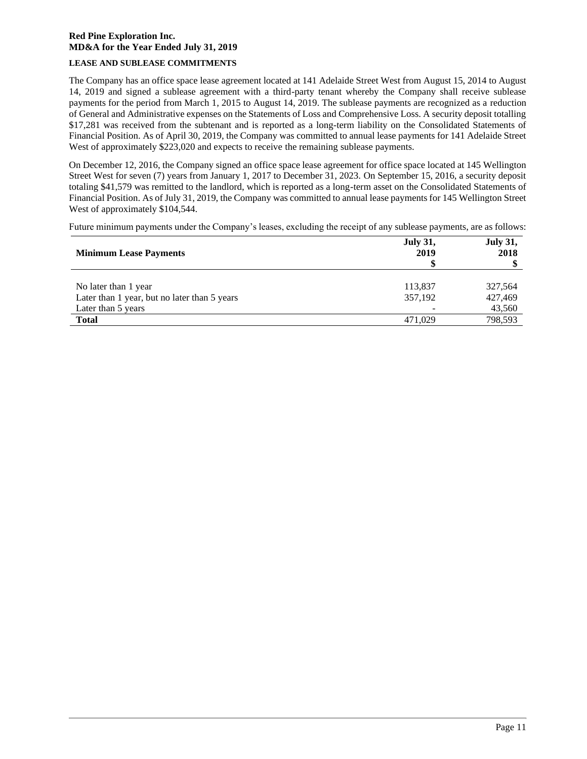# **LEASE AND SUBLEASE COMMITMENTS**

The Company has an office space lease agreement located at 141 Adelaide Street West from August 15, 2014 to August 14, 2019 and signed a sublease agreement with a third-party tenant whereby the Company shall receive sublease payments for the period from March 1, 2015 to August 14, 2019. The sublease payments are recognized as a reduction of General and Administrative expenses on the Statements of Loss and Comprehensive Loss. A security deposit totalling \$17,281 was received from the subtenant and is reported as a long-term liability on the Consolidated Statements of Financial Position. As of April 30, 2019, the Company was committed to annual lease payments for 141 Adelaide Street West of approximately \$223,020 and expects to receive the remaining sublease payments.

On December 12, 2016, the Company signed an office space lease agreement for office space located at 145 Wellington Street West for seven (7) years from January 1, 2017 to December 31, 2023. On September 15, 2016, a security deposit totaling \$41,579 was remitted to the landlord, which is reported as a long-term asset on the Consolidated Statements of Financial Position. As of July 31, 2019, the Company was committed to annual lease payments for 145 Wellington Street West of approximately \$104,544.

Future minimum payments under the Company's leases, excluding the receipt of any sublease payments, are as follows:

| <b>Minimum Lease Payments</b>                | <b>July 31,</b><br>2019 | <b>July 31,</b><br>2018 |
|----------------------------------------------|-------------------------|-------------------------|
| No later than 1 year                         | 113.837                 | 327,564                 |
| Later than 1 year, but no later than 5 years | 357,192                 | 427,469                 |
| Later than 5 years                           |                         | 43,560                  |
| <b>Total</b>                                 | 471.029                 | 798,593                 |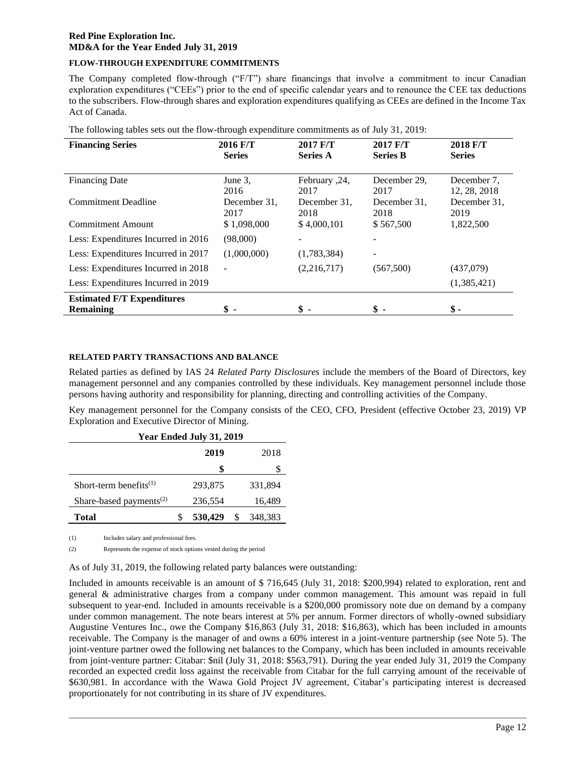# **FLOW-THROUGH EXPENDITURE COMMITMENTS**

The Company completed flow-through ("F/T") share financings that involve a commitment to incur Canadian exploration expenditures ("CEEs") prior to the end of specific calendar years and to renounce the CEE tax deductions to the subscribers. Flow-through shares and exploration expenditures qualifying as CEEs are defined in the Income Tax Act of Canada.

| <b>Financing Series</b>             | 2016 F/T                     | 2017 F/T<br><b>Series A</b>  | 2017 F/T<br><b>Series B</b>  | 2018 F/T<br><b>Series</b>            |
|-------------------------------------|------------------------------|------------------------------|------------------------------|--------------------------------------|
|                                     | <b>Series</b>                |                              |                              |                                      |
| <b>Financing Date</b>               | June 3,                      | ,24, February                | December 29.                 | December 7.                          |
| <b>Commitment Deadline</b>          | 2016<br>December 31.<br>2017 | 2017<br>December 31,<br>2018 | 2017<br>December 31.<br>2018 | 12, 28, 2018<br>December 31.<br>2019 |
| <b>Commitment Amount</b>            | \$1,098,000                  | \$4,000,101                  | \$567,500                    | 1,822,500                            |
| Less: Expenditures Incurred in 2016 | (98,000)                     |                              |                              |                                      |
| Less: Expenditures Incurred in 2017 | (1,000,000)                  | (1,783,384)                  |                              |                                      |
| Less: Expenditures Incurred in 2018 |                              | (2,216,717)                  | (567,500)                    | (437,079)                            |
| Less: Expenditures Incurred in 2019 |                              |                              |                              | (1,385,421)                          |
| <b>Estimated F/T Expenditures</b>   |                              |                              |                              |                                      |
| <b>Remaining</b>                    | \$<br>$\blacksquare$         | \$-                          | \$                           | \$ -                                 |

The following tables sets out the flow-through expenditure commitments as of July 31, 2019:

# **RELATED PARTY TRANSACTIONS AND BALANCE**

Related parties as defined by IAS 24 *Related Party Disclosures* include the members of the Board of Directors, key management personnel and any companies controlled by these individuals. Key management personnel include those persons having authority and responsibility for planning, directing and controlling activities of the Company.

Key management personnel for the Company consists of the CEO, CFO, President (effective October 23, 2019) VP Exploration and Executive Director of Mining.

| Year Ended July 31, 2019                         |  |         |  |         |  |
|--------------------------------------------------|--|---------|--|---------|--|
|                                                  |  | 2019    |  | 2018    |  |
|                                                  |  | S       |  | \$      |  |
| Short-term benefits $(1)$                        |  | 293,875 |  | 331,894 |  |
| Share-based payments <sup><math>(2)</math></sup> |  | 236,554 |  | 16,489  |  |
| <b>Total</b>                                     |  | 530,429 |  | 348,383 |  |

(1) Includes salary and professional fees.

(2) Represents the expense of stock options vested during the period

As of July 31, 2019, the following related party balances were outstanding:

Included in amounts receivable is an amount of \$ 716,645 (July 31, 2018: \$200,994) related to exploration, rent and general & administrative charges from a company under common management. This amount was repaid in full subsequent to year-end. Included in amounts receivable is a \$200,000 promissory note due on demand by a company under common management. The note bears interest at 5% per annum. Former directors of wholly-owned subsidiary Augustine Ventures Inc., owe the Company \$16,863 (July 31, 2018: \$16,863), which has been included in amounts receivable. The Company is the manager of and owns a 60% interest in a joint-venture partnership (see Note 5). The joint-venture partner owed the following net balances to the Company, which has been included in amounts receivable from joint-venture partner: Citabar: \$nil (July 31, 2018: \$563,791). During the year ended July 31, 2019 the Company recorded an expected credit loss against the receivable from Citabar for the full carrying amount of the receivable of \$630,981. In accordance with the Wawa Gold Project JV agreement, Citabar's participating interest is decreased proportionately for not contributing in its share of JV expenditures.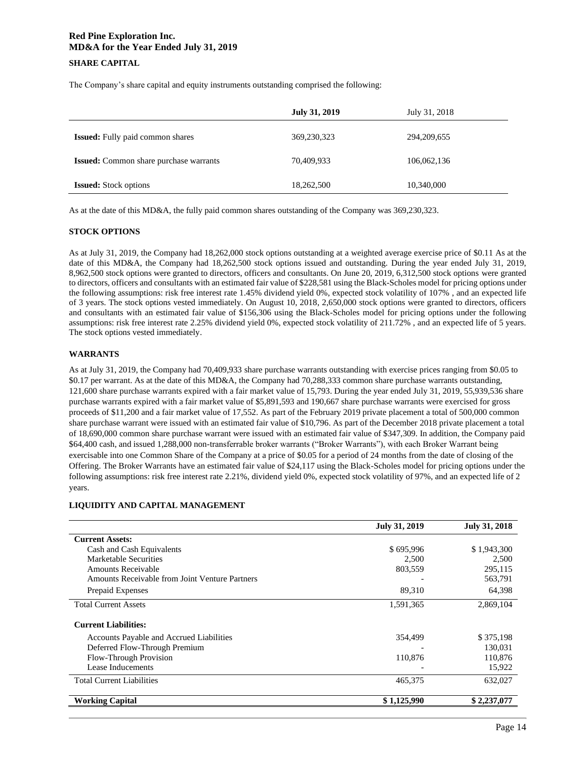## **SHARE CAPITAL**

The Company's share capital and equity instruments outstanding comprised the following:

|                                               | July 31, 2019 | July 31, 2018 |
|-----------------------------------------------|---------------|---------------|
| <b>Issued:</b> Fully paid common shares       | 369,230,323   | 294, 209, 655 |
| <b>Issued:</b> Common share purchase warrants | 70,409,933    | 106,062,136   |
| <b>Issued:</b> Stock options                  | 18,262,500    | 10,340,000    |

As at the date of this MD&A, the fully paid common shares outstanding of the Company was 369,230,323.

## **STOCK OPTIONS**

As at July 31, 2019, the Company had 18,262,000 stock options outstanding at a weighted average exercise price of \$0.11 As at the date of this MD&A, the Company had 18,262,500 stock options issued and outstanding. During the year ended July 31, 2019, 8,962,500 stock options were granted to directors, officers and consultants. On June 20, 2019, 6,312,500 stock options were granted to directors, officers and consultants with an estimated fair value of \$228,581 using the Black-Scholes model for pricing options under the following assumptions: risk free interest rate 1.45% dividend yield 0%, expected stock volatility of 107% , and an expected life of 3 years. The stock options vested immediately. On August 10, 2018, 2,650,000 stock options were granted to directors, officers and consultants with an estimated fair value of \$156,306 using the Black-Scholes model for pricing options under the following assumptions: risk free interest rate 2.25% dividend yield 0%, expected stock volatility of 211.72% , and an expected life of 5 years. The stock options vested immediately.

## **WARRANTS**

As at July 31, 2019, the Company had 70,409,933 share purchase warrants outstanding with exercise prices ranging from \$0.05 to \$0.17 per warrant. As at the date of this MD&A, the Company had 70,288,333 common share purchase warrants outstanding, 121,600 share purchase warrants expired with a fair market value of 15,793. During the year ended July 31, 2019, 55,939,536 share purchase warrants expired with a fair market value of \$5,891,593 and 190,667 share purchase warrants were exercised for gross proceeds of \$11,200 and a fair market value of 17,552. As part of the February 2019 private placement a total of 500,000 common share purchase warrant were issued with an estimated fair value of \$10,796. As part of the December 2018 private placement a total of 18,690,000 common share purchase warrant were issued with an estimated fair value of \$347,309. In addition, the Company paid \$64,400 cash, and issued 1,288,000 non-transferrable broker warrants ("Broker Warrants"), with each Broker Warrant being exercisable into one Common Share of the Company at a price of \$0.05 for a period of 24 months from the date of closing of the Offering. The Broker Warrants have an estimated fair value of \$24,117 using the Black-Scholes model for pricing options under the following assumptions: risk free interest rate 2.21%, dividend yield 0%, expected stock volatility of 97%, and an expected life of 2 years.

## **LIQUIDITY AND CAPITAL MANAGEMENT**

|                                                | July 31, 2019 | <b>July 31, 2018</b> |
|------------------------------------------------|---------------|----------------------|
| <b>Current Assets:</b>                         |               |                      |
| Cash and Cash Equivalents                      | \$695,996     | \$1,943,300          |
| <b>Marketable Securities</b>                   | 2,500         | 2,500                |
| <b>Amounts Receivable</b>                      | 803.559       | 295,115              |
| Amounts Receivable from Joint Venture Partners |               | 563,791              |
| Prepaid Expenses                               | 89,310        | 64,398               |
| <b>Total Current Assets</b>                    | 1,591,365     | 2,869,104            |
| <b>Current Liabilities:</b>                    |               |                      |
| Accounts Payable and Accrued Liabilities       | 354,499       | \$375,198            |
| Deferred Flow-Through Premium                  |               | 130,031              |
| Flow-Through Provision                         | 110,876       | 110,876              |
| Lease Inducements                              |               | 15,922               |
| <b>Total Current Liabilities</b>               | 465,375       | 632,027              |
| <b>Working Capital</b>                         | \$1,125,990   | \$2,237,077          |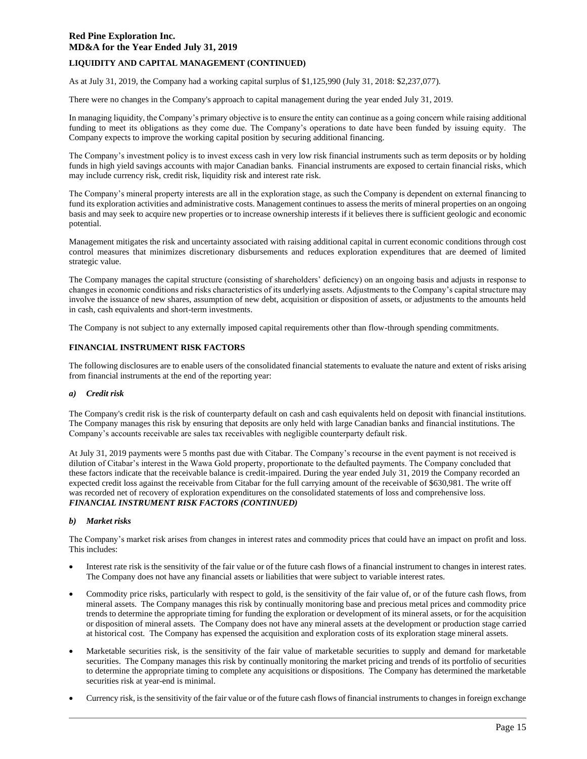# **LIQUIDITY AND CAPITAL MANAGEMENT (CONTINUED)**

As at July 31, 2019, the Company had a working capital surplus of \$1,125,990 (July 31, 2018: \$2,237,077).

There were no changes in the Company's approach to capital management during the year ended July 31, 2019.

In managing liquidity, the Company's primary objective is to ensure the entity can continue as a going concern while raising additional funding to meet its obligations as they come due. The Company's operations to date have been funded by issuing equity. The Company expects to improve the working capital position by securing additional financing.

The Company's investment policy is to invest excess cash in very low risk financial instruments such as term deposits or by holding funds in high yield savings accounts with major Canadian banks. Financial instruments are exposed to certain financial risks, which may include currency risk, credit risk, liquidity risk and interest rate risk.

The Company's mineral property interests are all in the exploration stage, as such the Company is dependent on external financing to fund its exploration activities and administrative costs. Management continues to assess the merits of mineral properties on an ongoing basis and may seek to acquire new properties or to increase ownership interests if it believes there is sufficient geologic and economic potential.

Management mitigates the risk and uncertainty associated with raising additional capital in current economic conditions through cost control measures that minimizes discretionary disbursements and reduces exploration expenditures that are deemed of limited strategic value.

The Company manages the capital structure (consisting of shareholders' deficiency) on an ongoing basis and adjusts in response to changes in economic conditions and risks characteristics of its underlying assets. Adjustments to the Company's capital structure may involve the issuance of new shares, assumption of new debt, acquisition or disposition of assets, or adjustments to the amounts held in cash, cash equivalents and short-term investments.

The Company is not subject to any externally imposed capital requirements other than flow-through spending commitments.

## **FINANCIAL INSTRUMENT RISK FACTORS**

The following disclosures are to enable users of the consolidated financial statements to evaluate the nature and extent of risks arising from financial instruments at the end of the reporting year:

## *a) Credit risk*

The Company's credit risk is the risk of counterparty default on cash and cash equivalents held on deposit with financial institutions. The Company manages this risk by ensuring that deposits are only held with large Canadian banks and financial institutions. The Company's accounts receivable are sales tax receivables with negligible counterparty default risk.

At July 31, 2019 payments were 5 months past due with Citabar. The Company's recourse in the event payment is not received is dilution of Citabar's interest in the Wawa Gold property, proportionate to the defaulted payments. The Company concluded that these factors indicate that the receivable balance is credit-impaired. During the year ended July 31, 2019 the Company recorded an expected credit loss against the receivable from Citabar for the full carrying amount of the receivable of \$630,981. The write off was recorded net of recovery of exploration expenditures on the consolidated statements of loss and comprehensive loss. *FINANCIAL INSTRUMENT RISK FACTORS (CONTINUED)*

## *b) Market risks*

The Company's market risk arises from changes in interest rates and commodity prices that could have an impact on profit and loss. This includes:

- Interest rate risk is the sensitivity of the fair value or of the future cash flows of a financial instrument to changes in interest rates. The Company does not have any financial assets or liabilities that were subject to variable interest rates.
- Commodity price risks, particularly with respect to gold, is the sensitivity of the fair value of, or of the future cash flows, from mineral assets. The Company manages this risk by continually monitoring base and precious metal prices and commodity price trends to determine the appropriate timing for funding the exploration or development of its mineral assets, or for the acquisition or disposition of mineral assets. The Company does not have any mineral assets at the development or production stage carried at historical cost. The Company has expensed the acquisition and exploration costs of its exploration stage mineral assets.
- Marketable securities risk, is the sensitivity of the fair value of marketable securities to supply and demand for marketable securities. The Company manages this risk by continually monitoring the market pricing and trends of its portfolio of securities to determine the appropriate timing to complete any acquisitions or dispositions. The Company has determined the marketable securities risk at year-end is minimal.
- Currency risk, is the sensitivity of the fair value or of the future cash flows of financial instruments to changes in foreign exchange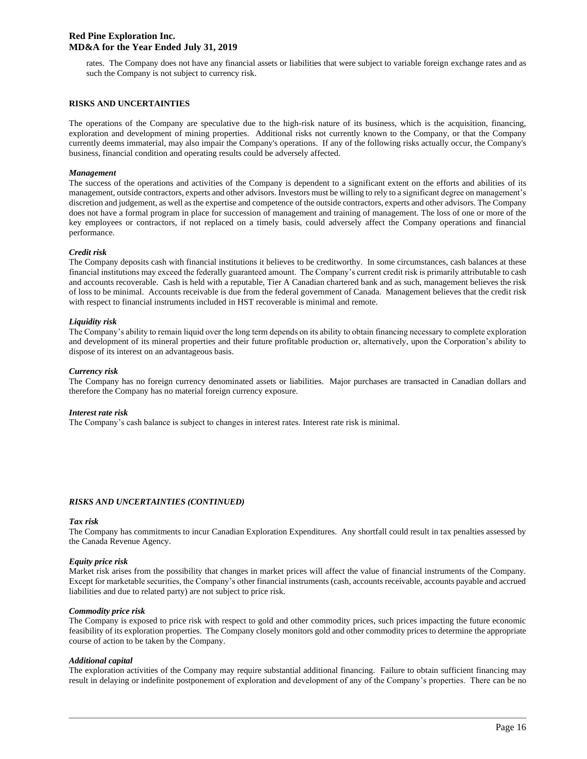rates. The Company does not have any financial assets or liabilities that were subject to variable foreign exchange rates and as such the Company is not subject to currency risk.

### **RISKS AND UNCERTAINTIES**

The operations of the Company are speculative due to the high-risk nature of its business, which is the acquisition, financing, exploration and development of mining properties. Additional risks not currently known to the Company, or that the Company currently deems immaterial, may also impair the Company's operations. If any of the following risks actually occur, the Company's business, financial condition and operating results could be adversely affected.

#### *Management*

The success of the operations and activities of the Company is dependent to a significant extent on the efforts and abilities of its management, outside contractors, experts and other advisors. Investors must be willing to rely to a significant degree on management's discretion and judgement, as well as the expertise and competence of the outside contractors, experts and other advisors. The Company does not have a formal program in place for succession of management and training of management. The loss of one or more of the key employees or contractors, if not replaced on a timely basis, could adversely affect the Company operations and financial performance.

#### *Credit risk*

The Company deposits cash with financial institutions it believes to be creditworthy. In some circumstances, cash balances at these financial institutions may exceed the federally guaranteed amount. The Company's current credit risk is primarily attributable to cash and accounts recoverable. Cash is held with a reputable, Tier A Canadian chartered bank and as such, management believes the risk of loss to be minimal. Accounts receivable is due from the federal government of Canada. Management believes that the credit risk with respect to financial instruments included in HST recoverable is minimal and remote.

### *Liquidity risk*

The Company's ability to remain liquid over the long term depends on its ability to obtain financing necessary to complete exploration and development of its mineral properties and their future profitable production or, alternatively, upon the Corporation's ability to dispose of its interest on an advantageous basis.

### *Currency risk*

The Company has no foreign currency denominated assets or liabilities. Major purchases are transacted in Canadian dollars and therefore the Company has no material foreign currency exposure.

#### *Interest rate risk*

The Company's cash balance is subject to changes in interest rates. Interest rate risk is minimal.

## *RISKS AND UNCERTAINTIES (CONTINUED)*

#### *Tax risk*

The Company has commitments to incur Canadian Exploration Expenditures. Any shortfall could result in tax penalties assessed by the Canada Revenue Agency.

#### *Equity price risk*

Market risk arises from the possibility that changes in market prices will affect the value of financial instruments of the Company. Except for marketable securities, the Company's other financial instruments (cash, accounts receivable, accounts payable and accrued liabilities and due to related party) are not subject to price risk.

#### *Commodity price risk*

The Company is exposed to price risk with respect to gold and other commodity prices, such prices impacting the future economic feasibility of its exploration properties. The Company closely monitors gold and other commodity prices to determine the appropriate course of action to be taken by the Company.

#### *Additional capital*

The exploration activities of the Company may require substantial additional financing. Failure to obtain sufficient financing may result in delaying or indefinite postponement of exploration and development of any of the Company's properties. There can be no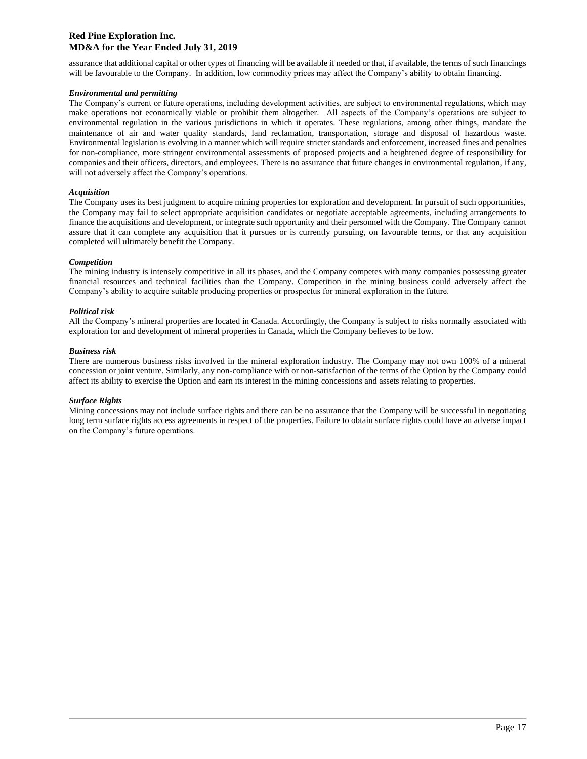assurance that additional capital or other types of financing will be available if needed or that, if available, the terms of such financings will be favourable to the Company. In addition, low commodity prices may affect the Company's ability to obtain financing.

### *Environmental and permitting*

The Company's current or future operations, including development activities, are subject to environmental regulations, which may make operations not economically viable or prohibit them altogether. All aspects of the Company's operations are subject to environmental regulation in the various jurisdictions in which it operates. These regulations, among other things, mandate the maintenance of air and water quality standards, land reclamation, transportation, storage and disposal of hazardous waste. Environmental legislation is evolving in a manner which will require stricter standards and enforcement, increased fines and penalties for non-compliance, more stringent environmental assessments of proposed projects and a heightened degree of responsibility for companies and their officers, directors, and employees. There is no assurance that future changes in environmental regulation, if any, will not adversely affect the Company's operations.

#### *Acquisition*

The Company uses its best judgment to acquire mining properties for exploration and development. In pursuit of such opportunities, the Company may fail to select appropriate acquisition candidates or negotiate acceptable agreements, including arrangements to finance the acquisitions and development, or integrate such opportunity and their personnel with the Company. The Company cannot assure that it can complete any acquisition that it pursues or is currently pursuing, on favourable terms, or that any acquisition completed will ultimately benefit the Company.

### *Competition*

The mining industry is intensely competitive in all its phases, and the Company competes with many companies possessing greater financial resources and technical facilities than the Company. Competition in the mining business could adversely affect the Company's ability to acquire suitable producing properties or prospectus for mineral exploration in the future.

### *Political risk*

All the Company's mineral properties are located in Canada. Accordingly, the Company is subject to risks normally associated with exploration for and development of mineral properties in Canada, which the Company believes to be low.

#### *Business risk*

There are numerous business risks involved in the mineral exploration industry. The Company may not own 100% of a mineral concession or joint venture. Similarly, any non-compliance with or non-satisfaction of the terms of the Option by the Company could affect its ability to exercise the Option and earn its interest in the mining concessions and assets relating to properties.

#### *Surface Rights*

Mining concessions may not include surface rights and there can be no assurance that the Company will be successful in negotiating long term surface rights access agreements in respect of the properties. Failure to obtain surface rights could have an adverse impact on the Company's future operations.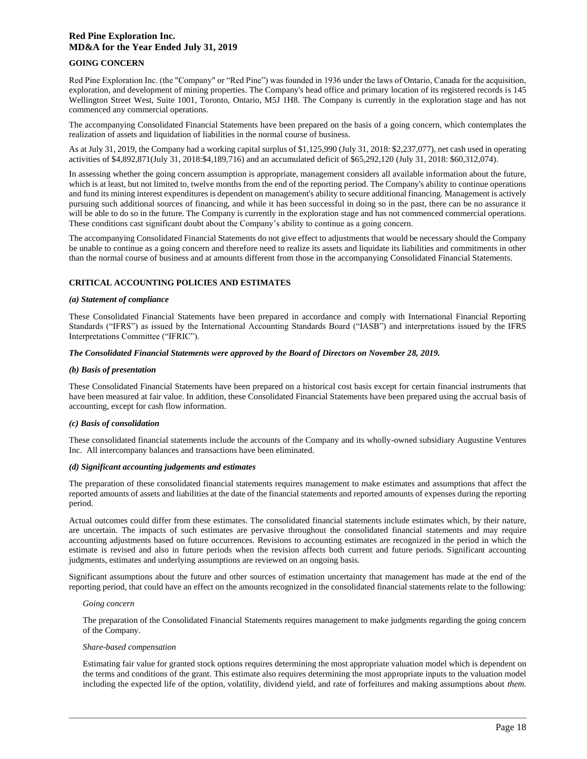## **GOING CONCERN**

Red Pine Exploration Inc. (the "Company" or "Red Pine") was founded in 1936 under the laws of Ontario, Canada for the acquisition, exploration, and development of mining properties. The Company's head office and primary location of its registered records is 145 Wellington Street West, Suite 1001, Toronto, Ontario, M5J 1H8. The Company is currently in the exploration stage and has not commenced any commercial operations.

The accompanying Consolidated Financial Statements have been prepared on the basis of a going concern, which contemplates the realization of assets and liquidation of liabilities in the normal course of business.

As at July 31, 2019, the Company had a working capital surplus of \$1,125,990 (July 31, 2018: \$2,237,077), net cash used in operating activities of \$4,892,871(July 31, 2018:\$4,189,716) and an accumulated deficit of \$65,292,120 (July 31, 2018: \$60,312,074).

In assessing whether the going concern assumption is appropriate, management considers all available information about the future, which is at least, but not limited to, twelve months from the end of the reporting period. The Company's ability to continue operations and fund its mining interest expenditures is dependent on management's ability to secure additional financing. Management is actively pursuing such additional sources of financing, and while it has been successful in doing so in the past, there can be no assurance it will be able to do so in the future. The Company is currently in the exploration stage and has not commenced commercial operations. These conditions cast significant doubt about the Company's ability to continue as a going concern.

The accompanying Consolidated Financial Statements do not give effect to adjustments that would be necessary should the Company be unable to continue as a going concern and therefore need to realize its assets and liquidate its liabilities and commitments in other than the normal course of business and at amounts different from those in the accompanying Consolidated Financial Statements.

## **CRITICAL ACCOUNTING POLICIES AND ESTIMATES**

#### *(a) Statement of compliance*

These Consolidated Financial Statements have been prepared in accordance and comply with International Financial Reporting Standards ("IFRS") as issued by the International Accounting Standards Board ("IASB") and interpretations issued by the IFRS Interpretations Committee ("IFRIC").

### *The Consolidated Financial Statements were approved by the Board of Directors on November 28, 2019.*

### *(b) Basis of presentation*

These Consolidated Financial Statements have been prepared on a historical cost basis except for certain financial instruments that have been measured at fair value. In addition, these Consolidated Financial Statements have been prepared using the accrual basis of accounting, except for cash flow information.

## *(c) Basis of consolidation*

These consolidated financial statements include the accounts of the Company and its wholly-owned subsidiary Augustine Ventures Inc. All intercompany balances and transactions have been eliminated.

#### *(d) Significant accounting judgements and estimates*

The preparation of these consolidated financial statements requires management to make estimates and assumptions that affect the reported amounts of assets and liabilities at the date of the financial statements and reported amounts of expenses during the reporting period.

Actual outcomes could differ from these estimates. The consolidated financial statements include estimates which, by their nature, are uncertain. The impacts of such estimates are pervasive throughout the consolidated financial statements and may require accounting adjustments based on future occurrences. Revisions to accounting estimates are recognized in the period in which the estimate is revised and also in future periods when the revision affects both current and future periods. Significant accounting judgments, estimates and underlying assumptions are reviewed on an ongoing basis.

Significant assumptions about the future and other sources of estimation uncertainty that management has made at the end of the reporting period, that could have an effect on the amounts recognized in the consolidated financial statements relate to the following:

#### *Going concern*

The preparation of the Consolidated Financial Statements requires management to make judgments regarding the going concern of the Company.

#### *Share-based compensation*

Estimating fair value for granted stock options requires determining the most appropriate valuation model which is dependent on the terms and conditions of the grant. This estimate also requires determining the most appropriate inputs to the valuation model including the expected life of the option, volatility, dividend yield, and rate of forfeitures and making assumptions about *them.*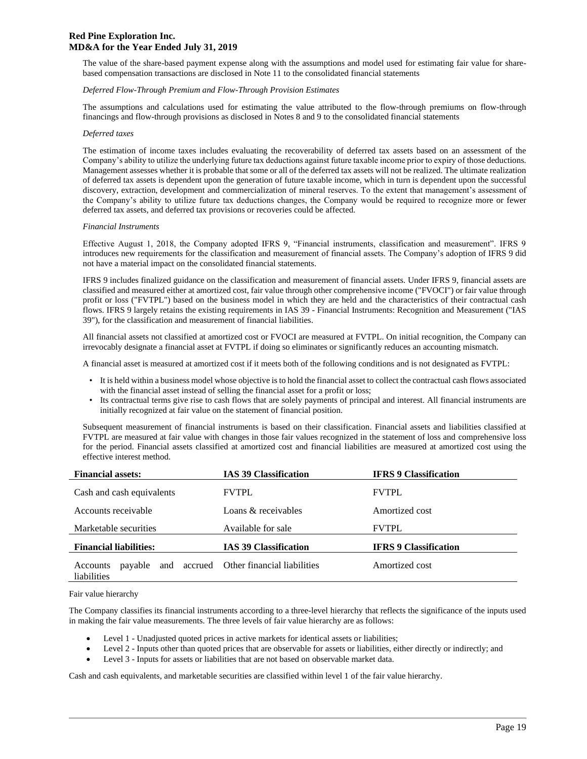The value of the share-based payment expense along with the assumptions and model used for estimating fair value for sharebased compensation transactions are disclosed in Note 11 to the consolidated financial statements

#### *Deferred Flow-Through Premium and Flow-Through Provision Estimates*

The assumptions and calculations used for estimating the value attributed to the flow-through premiums on flow-through financings and flow-through provisions as disclosed in Notes 8 and 9 to the consolidated financial statements

#### *Deferred taxes*

The estimation of income taxes includes evaluating the recoverability of deferred tax assets based on an assessment of the Company's ability to utilize the underlying future tax deductions against future taxable income prior to expiry of those deductions. Management assesses whether it is probable that some or all of the deferred tax assets will not be realized. The ultimate realization of deferred tax assets is dependent upon the generation of future taxable income, which in turn is dependent upon the successful discovery, extraction, development and commercialization of mineral reserves. To the extent that management's assessment of the Company's ability to utilize future tax deductions changes, the Company would be required to recognize more or fewer deferred tax assets, and deferred tax provisions or recoveries could be affected*.*

### *Financial Instruments*

Effective August 1, 2018, the Company adopted IFRS 9, "Financial instruments, classification and measurement". IFRS 9 introduces new requirements for the classification and measurement of financial assets. The Company's adoption of IFRS 9 did not have a material impact on the consolidated financial statements.

IFRS 9 includes finalized guidance on the classification and measurement of financial assets. Under IFRS 9, financial assets are classified and measured either at amortized cost, fair value through other comprehensive income ("FVOCI") or fair value through profit or loss ("FVTPL") based on the business model in which they are held and the characteristics of their contractual cash flows. IFRS 9 largely retains the existing requirements in IAS 39 - Financial Instruments: Recognition and Measurement ("IAS 39"), for the classification and measurement of financial liabilities.

All financial assets not classified at amortized cost or FVOCI are measured at FVTPL. On initial recognition, the Company can irrevocably designate a financial asset at FVTPL if doing so eliminates or significantly reduces an accounting mismatch.

A financial asset is measured at amortized cost if it meets both of the following conditions and is not designated as FVTPL:

- It is held within a business model whose objective is to hold the financial asset to collect the contractual cash flows associated with the financial asset instead of selling the financial asset for a profit or loss;
- Its contractual terms give rise to cash flows that are solely payments of principal and interest. All financial instruments are initially recognized at fair value on the statement of financial position.

Subsequent measurement of financial instruments is based on their classification. Financial assets and liabilities classified at FVTPL are measured at fair value with changes in those fair values recognized in the statement of loss and comprehensive loss for the period. Financial assets classified at amortized cost and financial liabilities are measured at amortized cost using the effective interest method.

| <b>Financial assets:</b>           | <b>IAS 39 Classification</b>            | <b>IFRS 9 Classification</b> |
|------------------------------------|-----------------------------------------|------------------------------|
| Cash and cash equivalents          | <b>FVTPL</b>                            | <b>FVTPL</b>                 |
| Accounts receivable                | Loans & receivables                     | Amortized cost               |
| Marketable securities              | Available for sale                      | <b>FVTPL</b>                 |
| <b>Financial liabilities:</b>      | <b>IAS 39 Classification</b>            | <b>IFRS 9 Classification</b> |
| payable<br>Accounts<br>liabilities | and accrued Other financial liabilities | Amortized cost               |

## Fair value hierarchy

The Company classifies its financial instruments according to a three-level hierarchy that reflects the significance of the inputs used in making the fair value measurements. The three levels of fair value hierarchy are as follows:

- Level 1 Unadjusted quoted prices in active markets for identical assets or liabilities;
- Level 2 Inputs other than quoted prices that are observable for assets or liabilities, either directly or indirectly; and
- Level 3 Inputs for assets or liabilities that are not based on observable market data.

Cash and cash equivalents, and marketable securities are classified within level 1 of the fair value hierarchy.